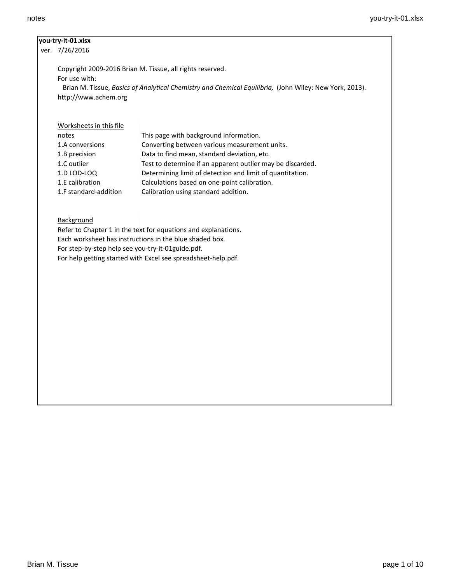# **you-try-it-01.xlsx**

ver. 7/26/2016

Copyright 2009-2016 Brian M. Tissue, all rights reserved.

For use with:

 Brian M. Tissue, *Basics of Analytical Chemistry and Chemical Equilibria,* (John Wiley: New York, 2013). http://www.achem.org

Worksheets in this file

| notes                 | This page with background information.                     |
|-----------------------|------------------------------------------------------------|
| 1.A conversions       | Converting between various measurement units.              |
| 1.B precision         | Data to find mean, standard deviation, etc.                |
| 1.C outlier           | Test to determine if an apparent outlier may be discarded. |
| 1.D LOD-LOQ           | Determining limit of detection and limit of quantitation.  |
| 1.E calibration       | Calculations based on one-point calibration.               |
| 1.F standard-addition | Calibration using standard addition.                       |

**Background** 

Refer to Chapter 1 in the text for equations and explanations. Each worksheet has instructions in the blue shaded box. For step-by-step help see you-try-it-01guide.pdf. For help getting started with Excel see spreadsheet-help.pdf.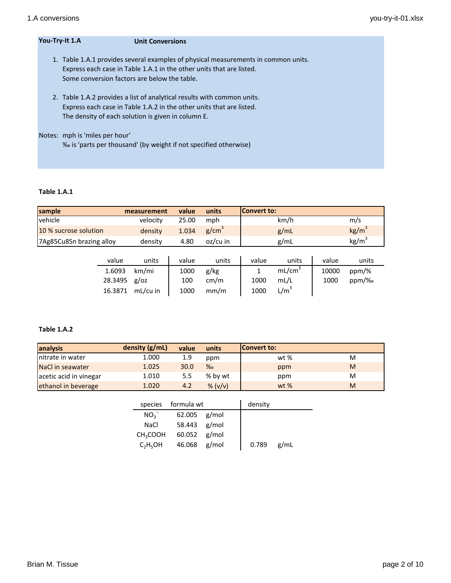| You-Try-It 1.A | <b>Unit Conversions</b>                                                                                                                                                                                    |
|----------------|------------------------------------------------------------------------------------------------------------------------------------------------------------------------------------------------------------|
|                | 1. Table 1.A.1 provides several examples of physical measurements in common units.<br>Express each case in Table 1.A.1 in the other units that are listed.<br>Some conversion factors are below the table. |
|                | 2. Table 1.A.2 provides a list of analytical results with common units.<br>Express each case in Table 1.A.2 in the other units that are listed.<br>The density of each solution is given in column E.      |
|                | Notes: mph is 'miles per hour'<br>% is 'parts per thousand' (by weight if not specified otherwise)                                                                                                         |

## **Table 1.A.1**

| sample                   | measurement | value | units      | <b>Convert to:</b> |                   |
|--------------------------|-------------|-------|------------|--------------------|-------------------|
| vehicle                  | velocity    | 25.00 | mph        | km/h               | m/s               |
| 10 % sucrose solution    | density     | 1.034 | $g/cm^{3}$ | g/mL               | kg/m <sup>3</sup> |
| 7Ag85Cu8Sn brazing alloy | density     | 4.80  | oz/cu in   | g/mL               | kg/m <sup>3</sup> |

| value          | units    | value | units | value | units              | value | units    |
|----------------|----------|-------|-------|-------|--------------------|-------|----------|
| 1.6093         | km/mi    | 1000  | g/kg  |       | mL/cm <sup>3</sup> | 10000 | ppm/%    |
| $28.3495$ g/oz |          | 100   | cm/m  | 1000  | mL/L               | 1000  | $ppm/\%$ |
| 16.3871        | mL/cu in | 1000  | mm/m  | 1000  | L/m <sup>3</sup>   |       |          |

## **Table 1.A.2**

| analysis               | density (g/mL) | value | units   | <b>Convert to:</b> |   |
|------------------------|----------------|-------|---------|--------------------|---|
| nitrate in water       | 1.000          | 1.9   | ppm     | wt %               | M |
| NaCl in seawater       | 1.025          | 30.0  | $\%$    | ppm                | M |
| acetic acid in vinegar | 1.010          | 5.5   | % by wt | ppm                | M |
| ethanol in beverage    | 1.020          | 4.2   | % (v/v) | $wt$ %             | M |

|                                  | species formula wt |  | density |      |
|----------------------------------|--------------------|--|---------|------|
| NO <sub>3</sub>                  | $62.005$ g/mol     |  |         |      |
| <b>NaCl</b>                      | 58.443 g/mol       |  |         |      |
| CH <sub>3</sub> COOH             | $60.052$ g/mol     |  |         |      |
| C <sub>2</sub> H <sub>5</sub> OH | 46.068 g/mol       |  | 0.789   | g/mL |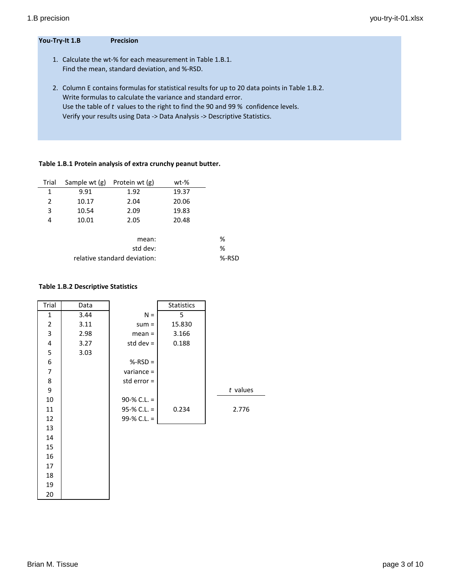### **You-Try-It 1.B Precision**

- 1. Calculate the wt-% for each measurement in Table 1.B.1. Find the mean, standard deviation, and %-RSD.
- 2. Column E contains formulas for statistical results for up to 20 data points in Table 1.B.2. Write formulas to calculate the variance and standard error. Use the table of *t* values to the right to find the 90 and 99 % confidence levels. Verify your results using Data -> Data Analysis -> Descriptive Statistics.

### **Table 1.B.1 Protein analysis of extra crunchy peanut butter.**

| Trial          | Sample wt (g) | Protein wt (g) | wt-%  |   |
|----------------|---------------|----------------|-------|---|
| 1              | 9.91          | 1.92           | 19.37 |   |
| $\overline{2}$ | 10.17         | 2.04           | 20.06 |   |
| 3              | 10.54         | 2.09           | 19.83 |   |
| 4              | 10.01         | 2.05           | 20.48 |   |
|                |               | mean:          |       | % |
|                |               | std dev:       |       | % |
|                | %-RSD         |                |       |   |
|                |               |                |       |   |

#### **Table 1.B.2 Descriptive Statistics**

| Trial                   | Data |                 | <b>Statistics</b> |            |
|-------------------------|------|-----------------|-------------------|------------|
| 1                       | 3.44 | $N =$           | 5                 |            |
| $\overline{2}$          | 3.11 | $sum =$         | 15.830            |            |
| 3                       | 2.98 | $mean =$        | 3.166             |            |
| $\overline{\mathbf{4}}$ | 3.27 | std dev $=$     | 0.188             |            |
| 5                       | 3.03 |                 |                   |            |
| 6                       |      | $%-RSD =$       |                   |            |
| 7                       |      | variance $=$    |                   |            |
| 8                       |      | std error =     |                   |            |
| 9                       |      |                 |                   | $t$ values |
| 10                      |      | 90-% C.L. $=$   |                   |            |
| 11                      |      | $95-% C.L. =$   | 0.234             | 2.776      |
| 12                      |      | $99 - % C.L. =$ |                   |            |
| 13                      |      |                 |                   |            |
| 14                      |      |                 |                   |            |
| 15                      |      |                 |                   |            |
| 16                      |      |                 |                   |            |
| 17                      |      |                 |                   |            |

18 19 20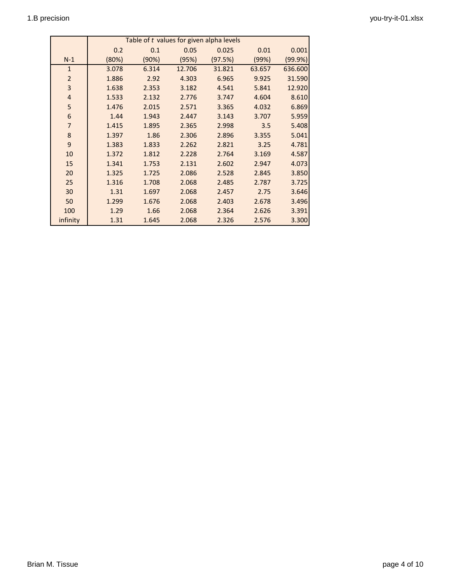|                         | Table of t values for given alpha levels |       |        |         |        |         |  |
|-------------------------|------------------------------------------|-------|--------|---------|--------|---------|--|
|                         | 0.2                                      | 0.1   | 0.05   | 0.025   | 0.01   | 0.001   |  |
| $N-1$                   | (80%)                                    | (90%) | (95%)  | (97.5%) | (99%)  | (99.9%) |  |
| $\mathbf{1}$            | 3.078                                    | 6.314 | 12.706 | 31.821  | 63.657 | 636.600 |  |
| $\overline{2}$          | 1.886                                    | 2.92  | 4.303  | 6.965   | 9.925  | 31.590  |  |
| 3                       | 1.638                                    | 2.353 | 3.182  | 4.541   | 5.841  | 12.920  |  |
| $\overline{\mathbf{r}}$ | 1.533                                    | 2.132 | 2.776  | 3.747   | 4.604  | 8.610   |  |
| 5                       | 1.476                                    | 2.015 | 2.571  | 3.365   | 4.032  | 6.869   |  |
| 6                       | 1.44                                     | 1.943 | 2.447  | 3.143   | 3.707  | 5.959   |  |
| $\overline{7}$          | 1.415                                    | 1.895 | 2.365  | 2.998   | 3.5    | 5.408   |  |
| $\bf 8$                 | 1.397                                    | 1.86  | 2.306  | 2.896   | 3.355  | 5.041   |  |
| $\mathsf 9$             | 1.383                                    | 1.833 | 2.262  | 2.821   | 3.25   | 4.781   |  |
| 10                      | 1.372                                    | 1.812 | 2.228  | 2.764   | 3.169  | 4.587   |  |
| 15                      | 1.341                                    | 1.753 | 2.131  | 2.602   | 2.947  | 4.073   |  |
| 20                      | 1.325                                    | 1.725 | 2.086  | 2.528   | 2.845  | 3.850   |  |
| 25                      | 1.316                                    | 1.708 | 2.068  | 2.485   | 2.787  | 3.725   |  |
| 30                      | 1.31                                     | 1.697 | 2.068  | 2.457   | 2.75   | 3.646   |  |
| 50                      | 1.299                                    | 1.676 | 2.068  | 2.403   | 2.678  | 3.496   |  |
| 100                     | 1.29                                     | 1.66  | 2.068  | 2.364   | 2.626  | 3.391   |  |
| infinity                | 1.31                                     | 1.645 | 2.068  | 2.326   | 2.576  | 3.300   |  |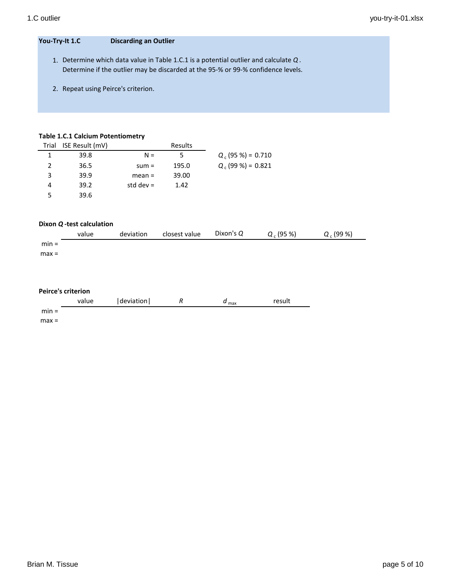l,

#### **You-Try-It 1.C Discarding an Outlier**

- 1. Determine which data value in Table 1.C.1 is a potential outlier and calculate *Q* . Determine if the outlier may be discarded at the 95-% or 99-% confidence levels.
- 2. Repeat using Peirce's criterion.

#### **Table 1.C.1 Calcium Potentiometry**

|   | Trial ISE Result (mV) |             | Results |                      |
|---|-----------------------|-------------|---------|----------------------|
|   | 39.8                  | $N =$       | 5       | $Q_c$ (95 %) = 0.710 |
| 2 | 36.5                  | $sum =$     | 195.0   | $Q_c$ (99 %) = 0.821 |
| 3 | 39.9                  | $mean =$    | 39.00   |                      |
| 4 | 39.2                  | std dev $=$ | 1.42    |                      |
| 5 | 39.6                  |             |         |                      |

#### **Dixon** *Q* **-test calculation**

|         | value | deviation | closest value | Dixon's Q | $Q_c$ (95 %) | $Q_c(99%)$ |
|---------|-------|-----------|---------------|-----------|--------------|------------|
| $min =$ |       |           |               |           |              |            |
| $max =$ |       |           |               |           |              |            |
|         |       |           |               |           |              |            |
|         |       |           |               |           |              |            |

#### **Peirce's criterion**

|         | value | deviation | $\mathbf{u}$ max | result |
|---------|-------|-----------|------------------|--------|
| $min =$ |       |           |                  |        |

max =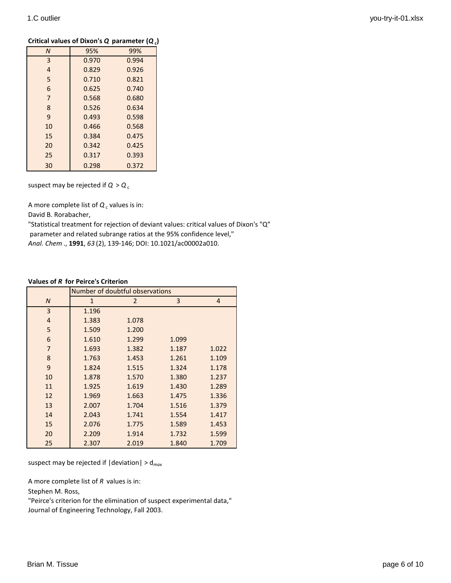| Critical values of Dixon's Q parameter $(Q_c)$ |  |  |
|------------------------------------------------|--|--|
|------------------------------------------------|--|--|

| $\overline{N}$ | 95%   | 99%   |
|----------------|-------|-------|
| 3              | 0.970 | 0.994 |
| $\overline{4}$ | 0.829 | 0.926 |
| 5              | 0.710 | 0.821 |
| 6              | 0.625 | 0.740 |
| $\overline{7}$ | 0.568 | 0.680 |
| 8              | 0.526 | 0.634 |
| 9              | 0.493 | 0.598 |
| 10             | 0.466 | 0.568 |
| 15             | 0.384 | 0.475 |
| 20             | 0.342 | 0.425 |
| 25             | 0.317 | 0.393 |
| 30             | 0.298 | 0.372 |

suspect may be rejected if  $Q > Q_c$ 

A more complete list of  $Q_c$  values is in:

David B. Rorabacher,

"Statistical treatment for rejection of deviant values: critical values of Dixon's "Q" parameter and related subrange ratios at the 95% confidence level," *Anal. Chem* ., **1991**, *63* (2), 139-146; DOI: 10.1021/ac00002a010.

#### **Values of** *R* **for Peirce's Criterion**

|                | Number of doubtful observations |                |       |                |
|----------------|---------------------------------|----------------|-------|----------------|
| $\overline{N}$ | $\mathbf{1}$                    | $\overline{2}$ | 3     | $\overline{4}$ |
| 3              | 1.196                           |                |       |                |
| $\overline{4}$ | 1.383                           | 1.078          |       |                |
| 5              | 1.509                           | 1.200          |       |                |
| 6              | 1.610                           | 1.299          | 1.099 |                |
| $\overline{7}$ | 1.693                           | 1.382          | 1.187 | 1.022          |
| 8              | 1.763                           | 1.453          | 1.261 | 1.109          |
| 9              | 1.824                           | 1.515          | 1.324 | 1.178          |
| 10             | 1.878                           | 1.570          | 1.380 | 1.237          |
| 11             | 1.925                           | 1.619          | 1.430 | 1.289          |
| 12             | 1.969                           | 1.663          | 1.475 | 1.336          |
| 13             | 2.007                           | 1.704          | 1.516 | 1.379          |
| 14             | 2.043                           | 1.741          | 1.554 | 1.417          |
| 15             | 2.076                           | 1.775          | 1.589 | 1.453          |
| 20             | 2.209                           | 1.914          | 1.732 | 1.599          |
| 25             | 2.307                           | 2.019          | 1.840 | 1.709          |

suspect may be rejected if |deviation| > d*max*

A more complete list of *R* values is in:

Stephen M. Ross,

"Peirce's criterion for the elimination of suspect experimental data," Journal of Engineering Technology, Fall 2003.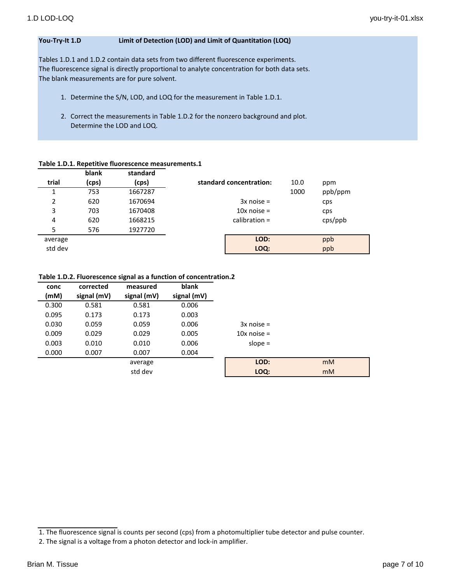## **You-Try-It 1.D Limit of Detection (LOD) and Limit of Quantitation (LOQ)**

Tables 1.D.1 and 1.D.2 contain data sets from two different fluorescence experiments. The fluorescence signal is directly proportional to analyte concentration for both data sets. The blank measurements are for pure solvent.

- 1. Determine the S/N, LOD, and LOQ for the measurement in Table 1.D.1.
- 2. Correct the measurements in Table 1.D.2 for the nonzero background and plot. Determine the LOD and LOQ.

#### **Table 1.D.1. Repetitive fluorescence measurements.1**

|         | blank | standard |                         |      |         |  |
|---------|-------|----------|-------------------------|------|---------|--|
| trial   | (cps) | (cps)    | standard concentration: | 10.0 | ppm     |  |
| 1       | 753   | 1667287  |                         | 1000 | ppb/ppm |  |
| 2       | 620   | 1670694  | $3x$ noise =            |      | cps     |  |
| 3       | 703   | 1670408  | $10x$ noise =           |      | cps     |  |
| 4       | 620   | 1668215  | calibration $=$         |      | cps(ppb |  |
| 5       | 576   | 1927720  |                         |      |         |  |
| average |       |          | LOD:                    |      | ppb     |  |
| std dev |       |          | LOQ:                    |      | ppb     |  |

#### **Table 1.D.2. Fluorescence signal as a function of concentration.2**

| conc  | corrected   | measured    | blank       |               |                |
|-------|-------------|-------------|-------------|---------------|----------------|
| (mM)  | signal (mV) | signal (mV) | signal (mV) |               |                |
| 0.300 | 0.581       | 0.581       | 0.006       |               |                |
| 0.095 | 0.173       | 0.173       | 0.003       |               |                |
| 0.030 | 0.059       | 0.059       | 0.006       | $3x$ noise =  |                |
| 0.009 | 0.029       | 0.029       | 0.005       | $10x$ noise = |                |
| 0.003 | 0.010       | 0.010       | 0.006       | slope $=$     |                |
| 0.000 | 0.007       | 0.007       | 0.004       |               |                |
|       |             | average     |             | LOD:          | m <sub>M</sub> |
|       |             | std dev     |             | LOQ:          | m <sub>M</sub> |

<sup>1.</sup> The fluorescence signal is counts per second (cps) from a photomultiplier tube detector and pulse counter.

<sup>2.</sup> The signal is a voltage from a photon detector and lock-in amplifier.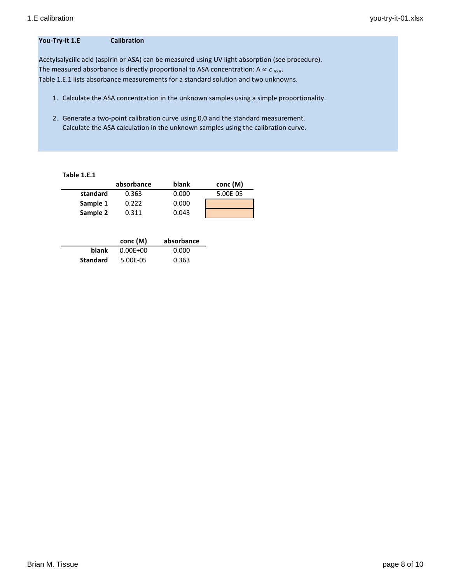## **You-Try-It 1.E Calibration**

Acetylsalycilic acid (aspirin or ASA) can be measured using UV light absorption (see procedure). The measured absorbance is directly proportional to ASA concentration:  $A \propto c_{ASA}$ . Table 1.E.1 lists absorbance measurements for a standard solution and two unknowns.

- 1. Calculate the ASA concentration in the unknown samples using a simple proportionality.
- 2. Generate a two-point calibration curve using 0,0 and the standard measurement. Calculate the ASA calculation in the unknown samples using the calibration curve.

| Table 1.E.1 |            |       |          |
|-------------|------------|-------|----------|
|             | absorbance | blank | conc (M) |
| standard    | 0.363      | 0.000 | 5.00E-05 |
| Sample 1    | 0.222      | 0.000 |          |
| Sample 2    | 0.311      | 0.043 |          |

|                 | conc (M)     | absorbance |
|-----------------|--------------|------------|
| blank           | $0.00E + 00$ | 0.000      |
| <b>Standard</b> | 5.00E-05     | 0.363      |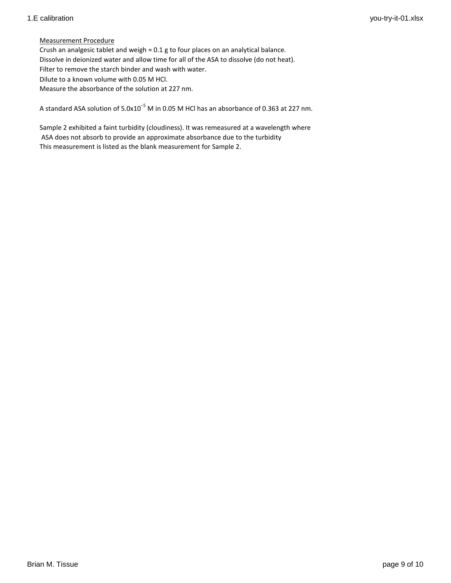## Measurement Procedure

Crush an analgesic tablet and weigh  $\approx 0.1$  g to four places on an analytical balance. Dissolve in deionized water and allow time for all of the ASA to dissolve (do not heat). Filter to remove the starch binder and wash with water. Dilute to a known volume with 0.05 M HCl. Measure the absorbance of the solution at 227 nm.

A standard ASA solution of 5.0x10−5 M in 0.05 M HCl has an absorbance of 0.363 at 227 nm.

Sample 2 exhibited a faint turbidity (cloudiness). It was remeasured at a wavelength where ASA does not absorb to provide an approximate absorbance due to the turbidity This measurement is listed as the blank measurement for Sample 2.